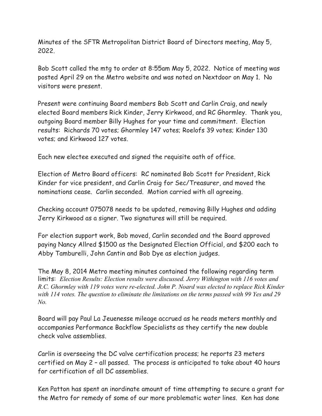Minutes of the SFTR Metropolitan District Board of Directors meeting, May 5, 2022.

Bob Scott called the mtg to order at 8:55am May 5, 2022. Notice of meeting was posted April 29 on the Metro website and was noted on Nextdoor on May 1. No visitors were present.

Present were continuing Board members Bob Scott and Carlin Craig, and newly elected Board members Rick Kinder, Jerry Kirkwood, and RC Ghormley. Thank you, outgoing Board member Billy Hughes for your time and commitment. Election results: Richards 70 votes; Ghormley 147 votes; Roelofs 39 votes; Kinder 130 votes; and Kirkwood 127 votes.

Each new electee executed and signed the requisite oath of office.

Election of Metro Board officers: RC nominated Bob Scott for President, Rick Kinder for vice president, and Carlin Craig for Sec/Treasurer, and moved the nominations cease. Carlin seconded. Motion carried with all agreeing.

Checking account 075078 needs to be updated, removing Billy Hughes and adding Jerry Kirkwood as a signer. Two signatures will still be required.

For election support work, Bob moved, Carlin seconded and the Board approved paying Nancy Allred \$1500 as the Designated Election Official, and \$200 each to Abby Tamburelli, John Cantin and Bob Dye as election judges.

The May 8, 2014 Metro meeting minutes contained the following regarding term limits: *Election Results: Election results were discussed. Jerry Withington with 116 votes and R.C. Ghormley with 119 votes were re-elected. John P. Noard was elected to replace Rick Kinder with 114 votes. The question to eliminate the limitations on the terms passed with 99 Yes and 29 No.*

Board will pay Paul La Jeuenesse mileage accrued as he reads meters monthly and accompanies Performance Backflow Specialists as they certify the new double check valve assemblies.

Carlin is overseeing the DC valve certification process; he reports 23 meters certified on May 2 – all passed. The process is anticipated to take about 40 hours for certification of all DC assemblies.

Ken Patton has spent an inordinate amount of time attempting to secure a grant for the Metro for remedy of some of our more problematic water lines. Ken has done